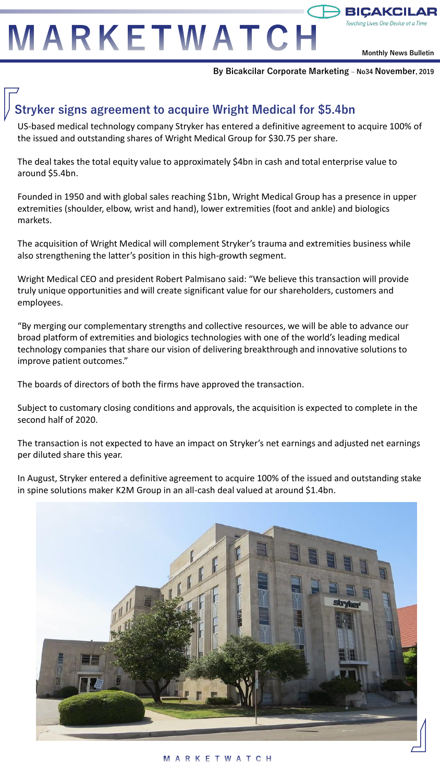MARKETWATCH

**Monthly News Bulletin**

**BICAKCIL** 

**By Bicakcilar Corporate Marketing – No34 November, 2019**

## **Stryker signs agreement to acquire Wright Medical for \$5.4bn**

US-based medical technology company Stryker has entered a definitive agreement to acquire 100% of the issued and outstanding shares of Wright Medical Group for \$30.75 per share.

The deal takes the total equity value to approximately \$4bn in cash and total enterprise value to around \$5.4bn.

Founded in 1950 and with global sales reaching \$1bn, Wright Medical Group has a presence in upper extremities (shoulder, elbow, wrist and hand), lower extremities (foot and ankle) and biologics markets.

The acquisition of Wright Medical will complement Stryker's trauma and extremities business while also strengthening the latter's position in this high-growth segment.

Wright Medical CEO and president Robert Palmisano said: "We believe this transaction will provide truly unique opportunities and will create significant value for our shareholders, customers and employees.

"By merging our complementary strengths and collective resources, we will be able to advance our broad platform of extremities and biologics technologies with one of the world's leading medical technology companies that share our vision of delivering breakthrough and innovative solutions to improve patient outcomes."

The boards of directors of both the firms have approved the transaction.

Subject to customary closing conditions and approvals, the acquisition is expected to complete in the second half of 2020.

The transaction is not expected to have an impact on Stryker's net earnings and adjusted net earnings per diluted share this year.

In August, Stryker entered a definitive agreement to acquire 100% of the issued and outstanding stake in spine solutions maker K2M Group in an all-cash deal valued at around \$1.4bn.

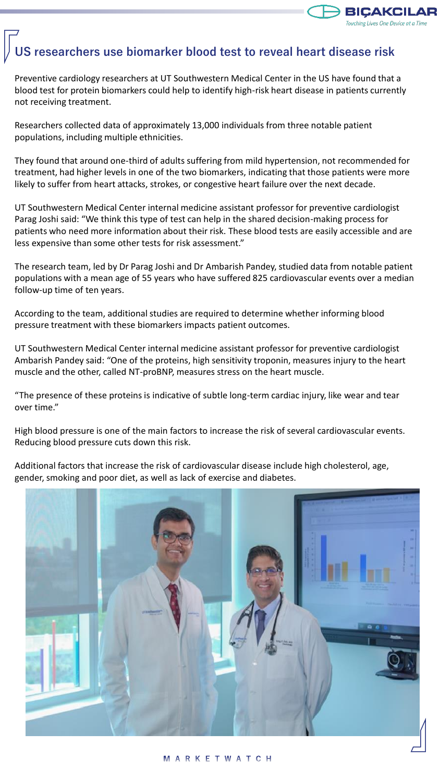

### **US researchers use biomarker blood test to reveal heart disease risk**

Preventive cardiology researchers at UT Southwestern Medical Center in the US have found that a blood test for protein biomarkers could help to identify high-risk heart disease in patients currently not receiving treatment.

Researchers collected data of approximately 13,000 individuals from three notable patient populations, including multiple ethnicities.

They found that around one-third of adults suffering from mild hypertension, not recommended for treatment, had higher levels in one of the two biomarkers, indicating that those patients were more likely to suffer from heart attacks, strokes, or congestive heart failure over the next decade.

UT Southwestern Medical Center internal medicine assistant professor for preventive cardiologist Parag Joshi said: "We think this type of test can help in the shared decision-making process for patients who need more information about their risk. These blood tests are easily accessible and are less expensive than some other tests for risk assessment."

The research team, led by Dr Parag Joshi and Dr Ambarish Pandey, studied data from notable patient populations with a mean age of 55 years who have suffered 825 cardiovascular events over a median follow-up time of ten years.

According to the team, additional studies are required to determine whether informing blood pressure treatment with these biomarkers impacts patient outcomes.

UT Southwestern Medical Center internal medicine assistant professor for preventive cardiologist Ambarish Pandey said: "One of the proteins, high sensitivity troponin, measures injury to the heart muscle and the other, called NT-proBNP, measures stress on the heart muscle.

"The presence of these proteins is indicative of subtle long-term cardiac injury, like wear and tear over time."

High blood pressure is one of the main factors to increase the risk of several cardiovascular events. Reducing blood pressure cuts down this risk.

Additional factors that increase the risk of cardiovascular disease include high cholesterol, age, gender, smoking and poor diet, as well as lack of exercise and diabetes.

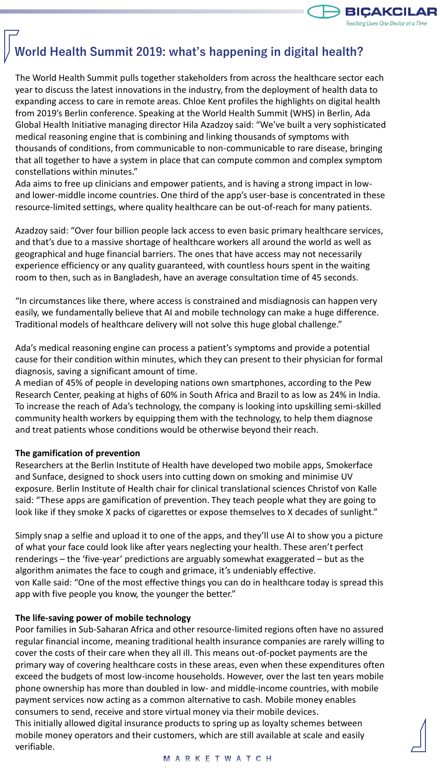

# **World Health Summit 2019: what's happening in digital health?**

The World Health Summit pulls together stakeholders from across the healthcare sector each year to discuss the latest innovations in the industry, from the deployment of health data to expanding access to care in remote areas. Chloe Kent profiles the highlights on digital health from 2019's Berlin conference. Speaking at the World Health Summit (WHS) in Berlin, Ada Global Health Initiative managing director Hila Azadzoy said: "We've built a very sophisticated medical reasoning engine that is combining and linking thousands of symptoms with thousands of conditions, from communicable to non-communicable to rare disease, bringing that all together to have a system in place that can compute common and complex symptom constellations within minutes."

Ada aims to free up clinicians and empower patients, and is having a strong impact in lowand lower-middle income countries. One third of the app's user-base is concentrated in these resource-limited settings, where quality healthcare can be out-of-reach for many patients.

Azadzoy said: "Over four billion people lack access to even basic primary healthcare services, and that's due to a massive shortage of healthcare workers all around the world as well as geographical and huge financial barriers. The ones that have access may not necessarily experience efficiency or any quality guaranteed, with countless hours spent in the waiting room to then, such as in Bangladesh, have an average consultation time of 45 seconds.

"In circumstances like there, where access is constrained and misdiagnosis can happen very easily, we fundamentally believe that AI and mobile technology can make a huge difference. Traditional models of healthcare delivery will not solve this huge global challenge."

Ada's medical reasoning engine can process a patient's symptoms and provide a potential cause for their condition within minutes, which they can present to their physician for formal diagnosis, saving a significant amount of time.

A median of 45% of people in developing nations own smartphones, according to the Pew Research Center, peaking at highs of 60% in South Africa and Brazil to as low as 24% in India. To increase the reach of Ada's technology, the company is looking into upskilling semi-skilled community health workers by equipping them with the technology, to help them diagnose and treat patients whose conditions would be otherwise beyond their reach.

#### **The gamification of prevention**

Researchers at the Berlin Institute of Health have developed two mobile apps, Smokerface and Sunface, designed to shock users into cutting down on smoking and minimise UV exposure. Berlin Institute of Health chair for clinical translational sciences Christof von Kalle said: "These apps are gamification of prevention. They teach people what they are going to look like if they smoke X packs of cigarettes or expose themselves to X decades of sunlight."

Simply snap a selfie and upload it to one of the apps, and they'll use AI to show you a picture of what your face could look like after years neglecting your health. These aren't perfect renderings – the 'five-year' predictions are arguably somewhat exaggerated – but as the algorithm animates the face to cough and grimace, it's undeniably effective. von Kalle said: "One of the most effective things you can do in healthcare today is spread this app with five people you know, the younger the better."

#### **The life-saving power of mobile technology**

Poor families in Sub-Saharan Africa and other resource-limited regions often have no assured regular financial income, meaning traditional health insurance companies are rarely willing to cover the costs of their care when they all ill. This means out-of-pocket payments are the primary way of covering healthcare costs in these areas, even when these expenditures often exceed the budgets of most low-income households. However, over the last ten years mobile phone ownership has more than doubled in low- and middle-income countries, with mobile payment services now acting as a common alternative to cash. Mobile money enables consumers to send, receive and store virtual money via their mobile devices.

This initially allowed digital insurance products to spring up as loyalty schemes between mobile money operators and their customers, which are still available at scale and easily verifiable.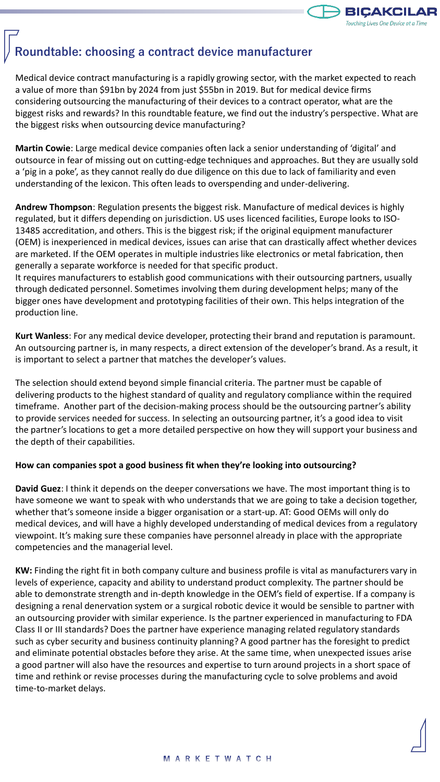

### **Roundtable: choosing a contract device manufacturer**

Medical device contract manufacturing is a rapidly growing sector, with the market expected to reach a value of more than \$91bn by 2024 from just \$55bn in 2019. But for medical device firms considering outsourcing the manufacturing of their devices to a contract operator, what are the biggest risks and rewards? In this roundtable feature, we find out the industry's perspective. What are the biggest risks when outsourcing device manufacturing?

**Martin Cowie**: Large medical device companies often lack a senior understanding of 'digital' and outsource in fear of missing out on cutting-edge techniques and approaches. But they are usually sold a 'pig in a poke', as they cannot really do due diligence on this due to lack of familiarity and even understanding of the lexicon. This often leads to overspending and under-delivering.

**Andrew Thompson**: Regulation presents the biggest risk. Manufacture of medical devices is highly regulated, but it differs depending on jurisdiction. US uses licenced facilities, Europe looks to ISO-13485 accreditation, and others. This is the biggest risk; if the original equipment manufacturer (OEM) is inexperienced in medical devices, issues can arise that can drastically affect whether devices are marketed. If the OEM operates in multiple industries like electronics or metal fabrication, then generally a separate workforce is needed for that specific product.

It requires manufacturers to establish good communications with their outsourcing partners, usually through dedicated personnel. Sometimes involving them during development helps; many of the bigger ones have development and prototyping facilities of their own. This helps integration of the production line.

**Kurt Wanless**: For any medical device developer, protecting their brand and reputation is paramount. An outsourcing partner is, in many respects, a direct extension of the developer's brand. As a result, it is important to select a partner that matches the developer's values.

The selection should extend beyond simple financial criteria. The partner must be capable of delivering products to the highest standard of quality and regulatory compliance within the required timeframe. Another part of the decision-making process should be the outsourcing partner's ability to provide services needed for success. In selecting an outsourcing partner, it's a good idea to visit the partner's locations to get a more detailed perspective on how they will support your business and the depth of their capabilities.

### **How can companies spot a good business fit when they're looking into outsourcing?**

**David Guez**: I think it depends on the deeper conversations we have. The most important thing is to have someone we want to speak with who understands that we are going to take a decision together, whether that's someone inside a bigger organisation or a start-up. AT: Good OEMs will only do medical devices, and will have a highly developed understanding of medical devices from a regulatory viewpoint. It's making sure these companies have personnel already in place with the appropriate competencies and the managerial level.

**KW:** Finding the right fit in both company culture and business profile is vital as manufacturers vary in levels of experience, capacity and ability to understand product complexity. The partner should be able to demonstrate strength and in-depth knowledge in the OEM's field of expertise. If a company is designing a renal denervation system or a surgical robotic device it would be sensible to partner with an outsourcing provider with similar experience. Is the partner experienced in manufacturing to FDA Class II or III standards? Does the partner have experience managing related regulatory standards such as cyber security and business continuity planning? A good partner has the foresight to predict and eliminate potential obstacles before they arise. At the same time, when unexpected issues arise a good partner will also have the resources and expertise to turn around projects in a short space of time and rethink or revise processes during the manufacturing cycle to solve problems and avoid time-to-market delays.